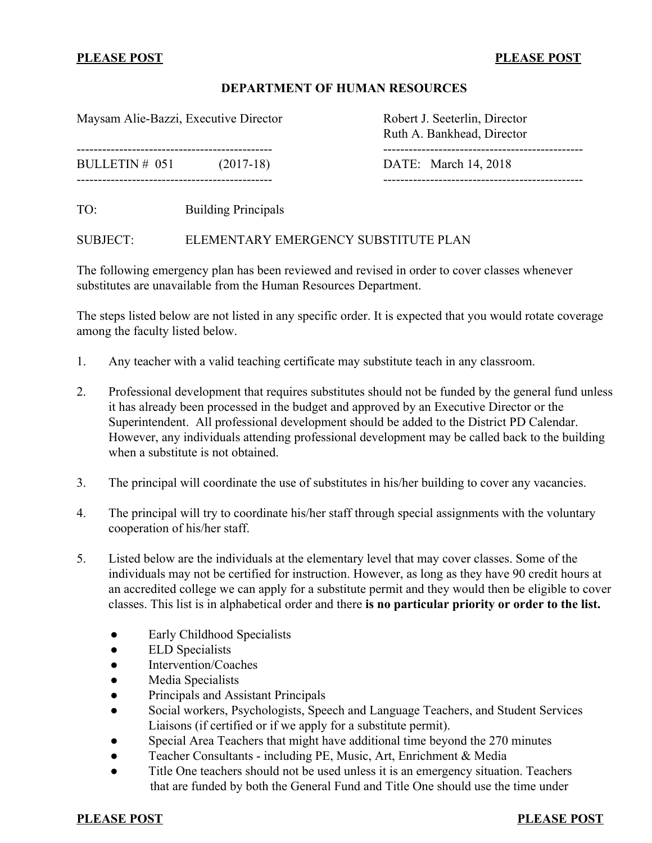## **PLEASE POST PLEASE POST**

### **DEPARTMENT OF HUMAN RESOURCES**

Maysam Alie-Bazzi, Executive Director Robert J. Seeterlin, Director

Ruth A. Bankhead, Director ---------------------------------------------- -----------------------------------------------

BULLETIN # 051 (2017-18) DATE: March 14, 2018

---------------------------------------------- -----------------------------------------------

TO: Building Principals

### SUBJECT: ELEMENTARY EMERGENCY SUBSTITUTE PLAN

The following emergency plan has been reviewed and revised in order to cover classes whenever substitutes are unavailable from the Human Resources Department.

The steps listed below are not listed in any specific order. It is expected that you would rotate coverage among the faculty listed below.

- 1. Any teacher with a valid teaching certificate may substitute teach in any classroom.
- 2. Professional development that requires substitutes should not be funded by the general fund unless it has already been processed in the budget and approved by an Executive Director or the Superintendent. All professional development should be added to the District PD Calendar. However, any individuals attending professional development may be called back to the building when a substitute is not obtained.
- 3. The principal will coordinate the use of substitutes in his/her building to cover any vacancies.
- 4. The principal will try to coordinate his/her staff through special assignments with the voluntary cooperation of his/her staff.
- 5. Listed below are the individuals at the elementary level that may cover classes. Some of the individuals may not be certified for instruction. However, as long as they have 90 credit hours at an accredited college we can apply for a substitute permit and they would then be eligible to cover classes. This list is in alphabetical order and there **is no particular priority or order to the list.**
	- Early Childhood Specialists
	- ELD Specialists
	- Intervention/Coaches
	- Media Specialists
	- Principals and Assistant Principals
	- Social workers, Psychologists, Speech and Language Teachers, and Student Services Liaisons (if certified or if we apply for a substitute permit).
	- Special Area Teachers that might have additional time beyond the 270 minutes
	- Teacher Consultants including PE, Music, Art, Enrichment & Media
	- Title One teachers should not be used unless it is an emergency situation. Teachers that are funded by both the General Fund and Title One should use the time under

**PLEASE POST PLEASE POST**